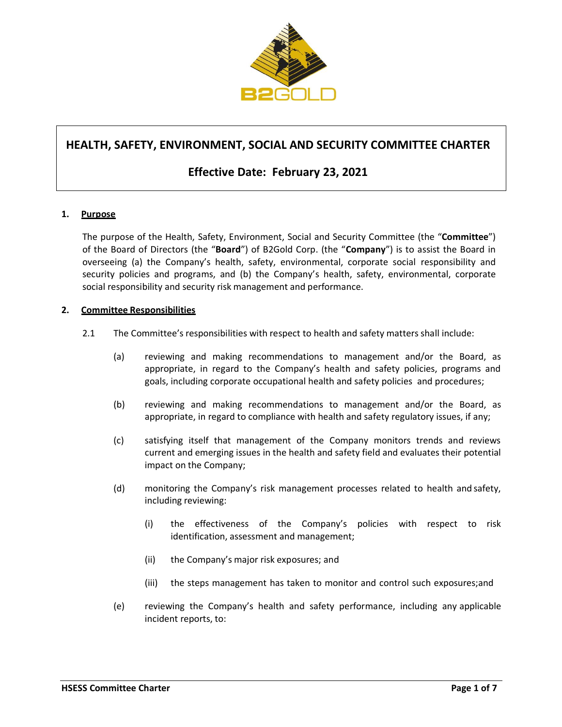

# **HEALTH, SAFETY, ENVIRONMENT, SOCIAL AND SECURITY COMMITTEE CHARTER**

## **Effective Date: February 23, 2021**

### **1. Purpose**

The purpose of the Health, Safety, Environment, Social and Security Committee (the "**Committee**") of the Board of Directors (the "**Board**") of B2Gold Corp. (the "**Company**") is to assist the Board in overseeing (a) the Company's health, safety, environmental, corporate social responsibility and security policies and programs, and (b) the Company's health, safety, environmental, corporate social responsibility and security risk management and performance.

### **2. Committee Responsibilities**

- 2.1 The Committee's responsibilities with respect to health and safety matters shall include:
	- (a) reviewing and making recommendations to management and/or the Board, as appropriate, in regard to the Company's health and safety policies, programs and goals, including corporate occupational health and safety policies and procedures;
	- (b) reviewing and making recommendations to management and/or the Board, as appropriate, in regard to compliance with health and safety regulatory issues, if any;
	- (c) satisfying itself that management of the Company monitors trends and reviews current and emerging issues in the health and safety field and evaluates their potential impact on the Company;
	- (d) monitoring the Company's risk management processes related to health and safety, including reviewing:
		- (i) the effectiveness of the Company's policies with respect to risk identification, assessment and management;
		- (ii) the Company's major risk exposures; and
		- (iii) the steps management has taken to monitor and control such exposures;and
	- (e) reviewing the Company's health and safety performance, including any applicable incident reports, to: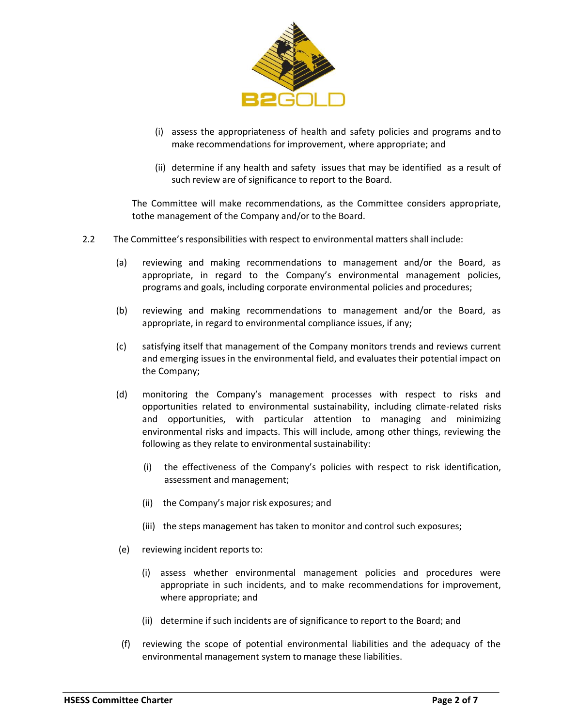

- (i) assess the appropriateness of health and safety policies and programs and to make recommendations for improvement, where appropriate; and
- (ii) determine if any health and safety issues that may be identified as a result of such review are of significance to report to the Board.

The Committee will make recommendations, as the Committee considers appropriate, tothe management of the Company and/or to the Board.

- 2.2 The Committee's responsibilities with respect to environmental matters shall include:
	- (a) reviewing and making recommendations to management and/or the Board, as appropriate, in regard to the Company's environmental management policies, programs and goals, including corporate environmental policies and procedures;
	- (b) reviewing and making recommendations to management and/or the Board, as appropriate, in regard to environmental compliance issues, if any;
	- (c) satisfying itself that management of the Company monitors trends and reviews current and emerging issues in the environmental field, and evaluates their potential impact on the Company;
	- (d) monitoring the Company's management processes with respect to risks and opportunities related to environmental sustainability, including climate-related risks and opportunities, with particular attention to managing and minimizing environmental risks and impacts. This will include, among other things, reviewing the following as they relate to environmental sustainability:
		- (i) the effectiveness of the Company's policies with respect to risk identification, assessment and management;
		- (ii) the Company's major risk exposures; and
		- (iii) the steps management has taken to monitor and control such exposures;
	- (e) reviewing incident reports to:
		- (i) assess whether environmental management policies and procedures were appropriate in such incidents, and to make recommendations for improvement, where appropriate; and
		- (ii) determine if such incidents are of significance to report to the Board; and
	- (f) reviewing the scope of potential environmental liabilities and the adequacy of the environmental management system to manage these liabilities.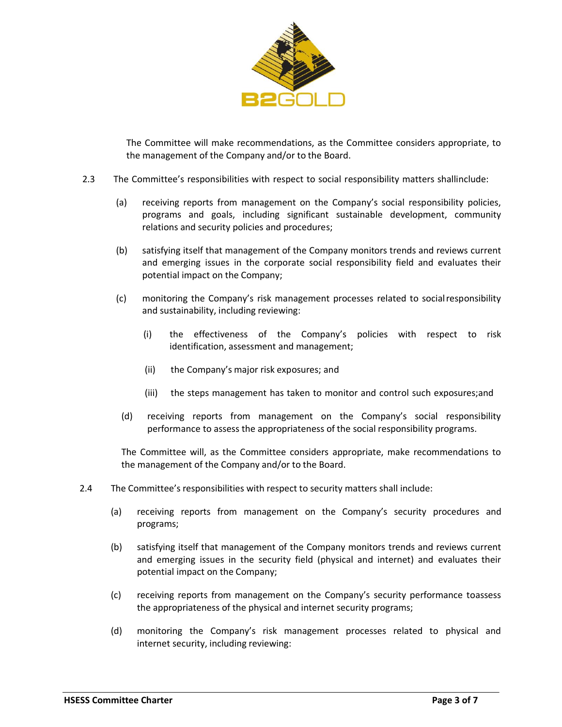

The Committee will make recommendations, as the Committee considers appropriate, to the management of the Company and/or to the Board.

- 2.3 The Committee's responsibilities with respect to social responsibility matters shallinclude:
	- (a) receiving reports from management on the Company's social responsibility policies, programs and goals, including significant sustainable development, community relations and security policies and procedures;
	- (b) satisfying itself that management of the Company monitors trends and reviews current and emerging issues in the corporate social responsibility field and evaluates their potential impact on the Company;
	- (c) monitoring the Company's risk management processes related to socialresponsibility and sustainability, including reviewing:
		- (i) the effectiveness of the Company's policies with respect to risk identification, assessment and management;
		- (ii) the Company's major risk exposures; and
		- (iii) the steps management has taken to monitor and control such exposures;and
		- (d) receiving reports from management on the Company's social responsibility performance to assess the appropriateness of the social responsibility programs.

The Committee will, as the Committee considers appropriate, make recommendations to the management of the Company and/or to the Board.

- 2.4 The Committee's responsibilities with respect to security matters shall include:
	- (a) receiving reports from management on the Company's security procedures and programs;
	- (b) satisfying itself that management of the Company monitors trends and reviews current and emerging issues in the security field (physical and internet) and evaluates their potential impact on the Company;
	- (c) receiving reports from management on the Company's security performance toassess the appropriateness of the physical and internet security programs;
	- (d) monitoring the Company's risk management processes related to physical and internet security, including reviewing: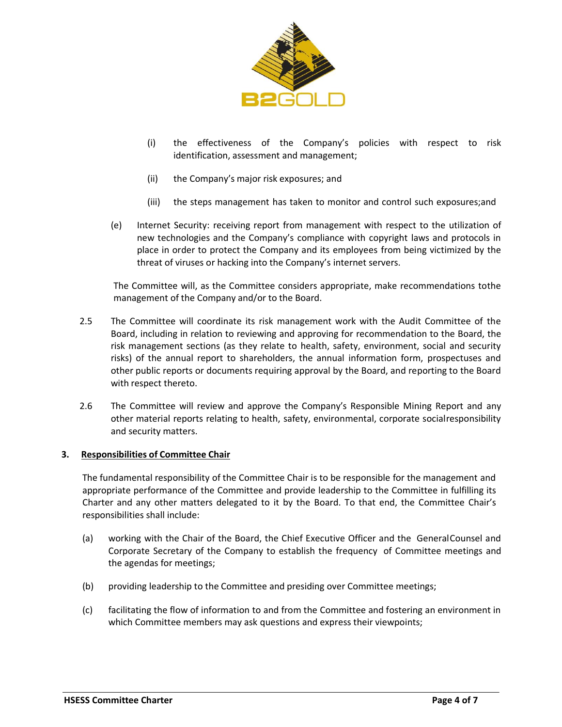

- (i) the effectiveness of the Company's policies with respect to risk identification, assessment and management;
- (ii) the Company's major risk exposures; and
- (iii) the steps management has taken to monitor and control such exposures;and
- (e) Internet Security: receiving report from management with respect to the utilization of new technologies and the Company's compliance with copyright laws and protocols in place in order to protect the Company and its employees from being victimized by the threat of viruses or hacking into the Company's internet servers.

The Committee will, as the Committee considers appropriate, make recommendations tothe management of the Company and/or to the Board.

- 2.5 The Committee will coordinate its risk management work with the Audit Committee of the Board, including in relation to reviewing and approving for recommendation to the Board, the risk management sections (as they relate to health, safety, environment, social and security risks) of the annual report to shareholders, the annual information form, prospectuses and other public reports or documents requiring approval by the Board, and reporting to the Board with respect thereto.
- 2.6 The Committee will review and approve the Company's Responsible Mining Report and any other material reports relating to health, safety, environmental, corporate socialresponsibility and security matters.

### **3. Responsibilities of Committee Chair**

The fundamental responsibility of the Committee Chair is to be responsible for the management and appropriate performance of the Committee and provide leadership to the Committee in fulfilling its Charter and any other matters delegated to it by the Board. To that end, the Committee Chair's responsibilities shall include:

- (a) working with the Chair of the Board, the Chief Executive Officer and the GeneralCounsel and Corporate Secretary of the Company to establish the frequency of Committee meetings and the agendas for meetings;
- (b) providing leadership to the Committee and presiding over Committee meetings;
- (c) facilitating the flow of information to and from the Committee and fostering an environment in which Committee members may ask questions and express their viewpoints;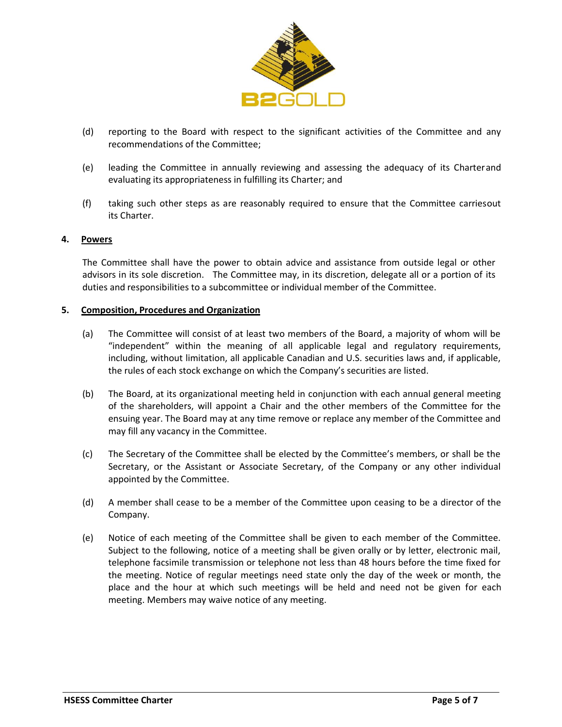

- (d) reporting to the Board with respect to the significant activities of the Committee and any recommendations of the Committee;
- (e) leading the Committee in annually reviewing and assessing the adequacy of its Charterand evaluating its appropriateness in fulfilling its Charter; and
- (f) taking such other steps as are reasonably required to ensure that the Committee carriesout its Charter.

### **4. Powers**

The Committee shall have the power to obtain advice and assistance from outside legal or other advisors in its sole discretion. The Committee may, in its discretion, delegate all or a portion of its duties and responsibilities to a subcommittee or individual member of the Committee.

#### **5. Composition, Procedures and Organization**

- (a) The Committee will consist of at least two members of the Board, a majority of whom will be "independent" within the meaning of all applicable legal and regulatory requirements, including, without limitation, all applicable Canadian and U.S. securities laws and, if applicable, the rules of each stock exchange on which the Company's securities are listed.
- (b) The Board, at its organizational meeting held in conjunction with each annual general meeting of the shareholders, will appoint a Chair and the other members of the Committee for the ensuing year. The Board may at any time remove or replace any member of the Committee and may fill any vacancy in the Committee.
- (c) The Secretary of the Committee shall be elected by the Committee's members, or shall be the Secretary, or the Assistant or Associate Secretary, of the Company or any other individual appointed by the Committee.
- (d) A member shall cease to be a member of the Committee upon ceasing to be a director of the Company.
- (e) Notice of each meeting of the Committee shall be given to each member of the Committee. Subject to the following, notice of a meeting shall be given orally or by letter, electronic mail, telephone facsimile transmission or telephone not less than 48 hours before the time fixed for the meeting. Notice of regular meetings need state only the day of the week or month, the place and the hour at which such meetings will be held and need not be given for each meeting. Members may waive notice of any meeting.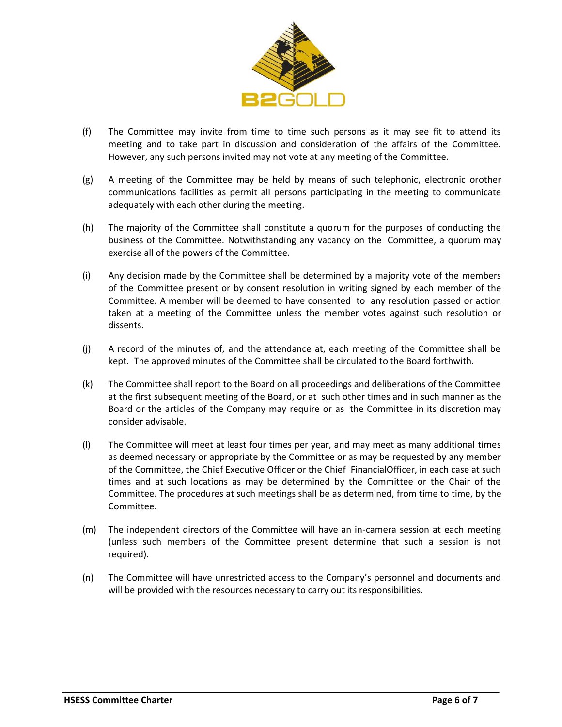

- (f) The Committee may invite from time to time such persons as it may see fit to attend its meeting and to take part in discussion and consideration of the affairs of the Committee. However, any such persons invited may not vote at any meeting of the Committee.
- (g) A meeting of the Committee may be held by means of such telephonic, electronic orother communications facilities as permit all persons participating in the meeting to communicate adequately with each other during the meeting.
- (h) The majority of the Committee shall constitute a quorum for the purposes of conducting the business of the Committee. Notwithstanding any vacancy on the Committee, a quorum may exercise all of the powers of the Committee.
- (i) Any decision made by the Committee shall be determined by a majority vote of the members of the Committee present or by consent resolution in writing signed by each member of the Committee. A member will be deemed to have consented to any resolution passed or action taken at a meeting of the Committee unless the member votes against such resolution or dissents.
- (j) A record of the minutes of, and the attendance at, each meeting of the Committee shall be kept. The approved minutes of the Committee shall be circulated to the Board forthwith.
- (k) The Committee shall report to the Board on all proceedings and deliberations of the Committee at the first subsequent meeting of the Board, or at such other times and in such manner as the Board or the articles of the Company may require or as the Committee in its discretion may consider advisable.
- (l) The Committee will meet at least four times per year, and may meet as many additional times as deemed necessary or appropriate by the Committee or as may be requested by any member of the Committee, the Chief Executive Officer or the Chief FinancialOfficer, in each case at such times and at such locations as may be determined by the Committee or the Chair of the Committee. The procedures at such meetings shall be as determined, from time to time, by the Committee.
- (m) The independent directors of the Committee will have an in-camera session at each meeting (unless such members of the Committee present determine that such a session is not required).
- (n) The Committee will have unrestricted access to the Company's personnel and documents and will be provided with the resources necessary to carry out its responsibilities.